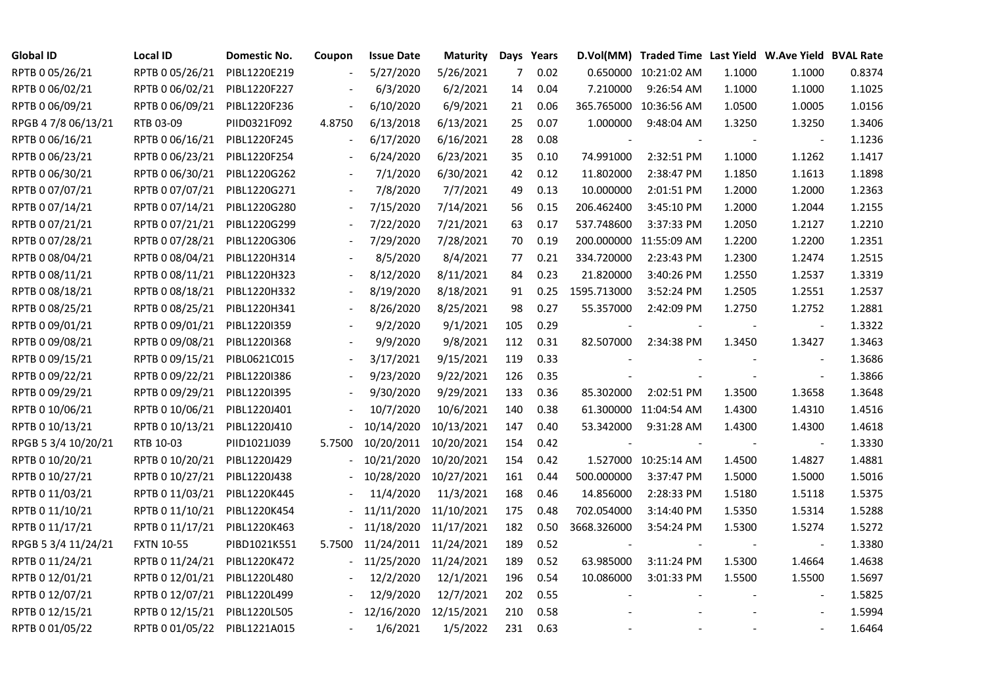| <b>Global ID</b>    | Local ID                     | Domestic No. | Coupon                   | <b>Issue Date</b>     | <b>Maturity</b> |                | Days Years |             | D.Vol(MM) Traded Time Last Yield W.Ave Yield BVAL Rate |        |                |        |
|---------------------|------------------------------|--------------|--------------------------|-----------------------|-----------------|----------------|------------|-------------|--------------------------------------------------------|--------|----------------|--------|
| RPTB 0 05/26/21     | RPTB 0 05/26/21              | PIBL1220E219 |                          | 5/27/2020             | 5/26/2021       | $\overline{7}$ | 0.02       |             | 0.650000 10:21:02 AM                                   | 1.1000 | 1.1000         | 0.8374 |
| RPTB 0 06/02/21     | RPTB 0 06/02/21              | PIBL1220F227 |                          | 6/3/2020              | 6/2/2021        | 14             | 0.04       | 7.210000    | 9:26:54 AM                                             | 1.1000 | 1.1000         | 1.1025 |
| RPTB 0 06/09/21     | RPTB 0 06/09/21              | PIBL1220F236 |                          | 6/10/2020             | 6/9/2021        | 21             | 0.06       |             | 365.765000 10:36:56 AM                                 | 1.0500 | 1.0005         | 1.0156 |
| RPGB 4 7/8 06/13/21 | RTB 03-09                    | PIID0321F092 | 4.8750                   | 6/13/2018             | 6/13/2021       | 25             | 0.07       | 1.000000    | 9:48:04 AM                                             | 1.3250 | 1.3250         | 1.3406 |
| RPTB 0 06/16/21     | RPTB 0 06/16/21              | PIBL1220F245 |                          | 6/17/2020             | 6/16/2021       | 28             | 0.08       |             |                                                        |        |                | 1.1236 |
| RPTB 0 06/23/21     | RPTB 0 06/23/21              | PIBL1220F254 |                          | 6/24/2020             | 6/23/2021       | 35             | 0.10       | 74.991000   | 2:32:51 PM                                             | 1.1000 | 1.1262         | 1.1417 |
| RPTB 0 06/30/21     | RPTB 0 06/30/21              | PIBL1220G262 |                          | 7/1/2020              | 6/30/2021       | 42             | 0.12       | 11.802000   | 2:38:47 PM                                             | 1.1850 | 1.1613         | 1.1898 |
| RPTB 0 07/07/21     | RPTB 0 07/07/21              | PIBL1220G271 |                          | 7/8/2020              | 7/7/2021        | 49             | 0.13       | 10.000000   | 2:01:51 PM                                             | 1.2000 | 1.2000         | 1.2363 |
| RPTB 0 07/14/21     | RPTB 0 07/14/21              | PIBL1220G280 |                          | 7/15/2020             | 7/14/2021       | 56             | 0.15       | 206.462400  | 3:45:10 PM                                             | 1.2000 | 1.2044         | 1.2155 |
| RPTB 0 07/21/21     | RPTB 0 07/21/21              | PIBL1220G299 |                          | 7/22/2020             | 7/21/2021       | 63             | 0.17       | 537.748600  | 3:37:33 PM                                             | 1.2050 | 1.2127         | 1.2210 |
| RPTB 0 07/28/21     | RPTB 0 07/28/21              | PIBL1220G306 |                          | 7/29/2020             | 7/28/2021       | 70             | 0.19       |             | 200.000000 11:55:09 AM                                 | 1.2200 | 1.2200         | 1.2351 |
| RPTB 0 08/04/21     | RPTB 0 08/04/21              | PIBL1220H314 |                          | 8/5/2020              | 8/4/2021        | 77             | 0.21       | 334.720000  | 2:23:43 PM                                             | 1.2300 | 1.2474         | 1.2515 |
| RPTB 0 08/11/21     | RPTB 0 08/11/21              | PIBL1220H323 |                          | 8/12/2020             | 8/11/2021       | 84             | 0.23       | 21.820000   | 3:40:26 PM                                             | 1.2550 | 1.2537         | 1.3319 |
| RPTB 0 08/18/21     | RPTB 0 08/18/21              | PIBL1220H332 |                          | 8/19/2020             | 8/18/2021       | 91             | 0.25       | 1595.713000 | 3:52:24 PM                                             | 1.2505 | 1.2551         | 1.2537 |
| RPTB 0 08/25/21     | RPTB 0 08/25/21              | PIBL1220H341 |                          | 8/26/2020             | 8/25/2021       | 98             | 0.27       | 55.357000   | 2:42:09 PM                                             | 1.2750 | 1.2752         | 1.2881 |
| RPTB 0 09/01/21     | RPTB 0 09/01/21              | PIBL1220I359 |                          | 9/2/2020              | 9/1/2021        | 105            | 0.29       |             |                                                        |        | $\blacksquare$ | 1.3322 |
| RPTB 0 09/08/21     | RPTB 0 09/08/21              | PIBL1220I368 |                          | 9/9/2020              | 9/8/2021        | 112            | 0.31       | 82.507000   | 2:34:38 PM                                             | 1.3450 | 1.3427         | 1.3463 |
| RPTB 0 09/15/21     | RPTB 0 09/15/21              | PIBL0621C015 | $\overline{\phantom{a}}$ | 3/17/2021             | 9/15/2021       | 119            | 0.33       |             |                                                        |        | $\blacksquare$ | 1.3686 |
| RPTB 0 09/22/21     | RPTB 0 09/22/21              | PIBL1220I386 |                          | 9/23/2020             | 9/22/2021       | 126            | 0.35       |             |                                                        |        |                | 1.3866 |
| RPTB 0 09/29/21     | RPTB 0 09/29/21              | PIBL1220I395 |                          | 9/30/2020             | 9/29/2021       | 133            | 0.36       | 85.302000   | 2:02:51 PM                                             | 1.3500 | 1.3658         | 1.3648 |
| RPTB 0 10/06/21     | RPTB 0 10/06/21              | PIBL1220J401 |                          | 10/7/2020             | 10/6/2021       | 140            | 0.38       |             | 61.300000 11:04:54 AM                                  | 1.4300 | 1.4310         | 1.4516 |
| RPTB 0 10/13/21     | RPTB 0 10/13/21              | PIBL1220J410 |                          | 10/14/2020            | 10/13/2021      | 147            | 0.40       | 53.342000   | 9:31:28 AM                                             | 1.4300 | 1.4300         | 1.4618 |
| RPGB 5 3/4 10/20/21 | RTB 10-03                    | PIID1021J039 | 5.7500                   | 10/20/2011            | 10/20/2021      | 154            | 0.42       |             |                                                        |        |                | 1.3330 |
| RPTB 0 10/20/21     | RPTB 0 10/20/21              | PIBL1220J429 |                          | 10/21/2020            | 10/20/2021      | 154            | 0.42       |             | 1.527000 10:25:14 AM                                   | 1.4500 | 1.4827         | 1.4881 |
| RPTB 0 10/27/21     | RPTB 0 10/27/21              | PIBL1220J438 |                          | 10/28/2020            | 10/27/2021      | 161            | 0.44       | 500.000000  | 3:37:47 PM                                             | 1.5000 | 1.5000         | 1.5016 |
| RPTB 0 11/03/21     | RPTB 0 11/03/21              | PIBL1220K445 |                          | 11/4/2020             | 11/3/2021       | 168            | 0.46       | 14.856000   | 2:28:33 PM                                             | 1.5180 | 1.5118         | 1.5375 |
| RPTB 0 11/10/21     | RPTB 0 11/10/21              | PIBL1220K454 |                          | 11/11/2020            | 11/10/2021      | 175            | 0.48       | 702.054000  | 3:14:40 PM                                             | 1.5350 | 1.5314         | 1.5288 |
| RPTB 0 11/17/21     | RPTB 0 11/17/21              | PIBL1220K463 |                          | 11/18/2020            | 11/17/2021      | 182            | 0.50       | 3668.326000 | 3:54:24 PM                                             | 1.5300 | 1.5274         | 1.5272 |
| RPGB 5 3/4 11/24/21 | <b>FXTN 10-55</b>            | PIBD1021K551 | 5.7500                   | 11/24/2011 11/24/2021 |                 | 189            | 0.52       |             |                                                        |        | $\blacksquare$ | 1.3380 |
| RPTB 0 11/24/21     | RPTB 0 11/24/21              | PIBL1220K472 |                          | 11/25/2020            | 11/24/2021      | 189            | 0.52       | 63.985000   | 3:11:24 PM                                             | 1.5300 | 1.4664         | 1.4638 |
| RPTB 0 12/01/21     | RPTB 0 12/01/21              | PIBL1220L480 |                          | 12/2/2020             | 12/1/2021       | 196            | 0.54       | 10.086000   | 3:01:33 PM                                             | 1.5500 | 1.5500         | 1.5697 |
| RPTB 0 12/07/21     | RPTB 0 12/07/21              | PIBL1220L499 |                          | 12/9/2020             | 12/7/2021       | 202            | 0.55       |             |                                                        |        |                | 1.5825 |
| RPTB 0 12/15/21     | RPTB 0 12/15/21              | PIBL1220L505 |                          | 12/16/2020            | 12/15/2021      | 210            | 0.58       |             |                                                        |        |                | 1.5994 |
| RPTB 0 01/05/22     | RPTB 0 01/05/22 PIBL1221A015 |              |                          | 1/6/2021              | 1/5/2022        | 231            | 0.63       |             |                                                        |        |                | 1.6464 |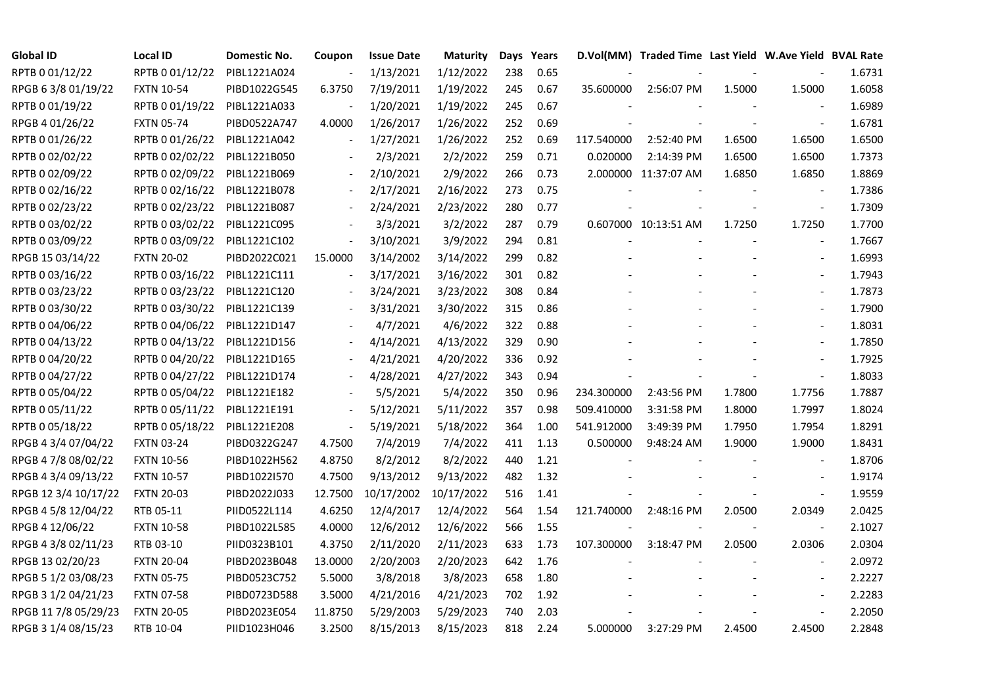| <b>Global ID</b>     | <b>Local ID</b>   | Domestic No. | Coupon                   | <b>Issue Date</b> | Maturity   |     | Days Years |            | D.Vol(MM) Traded Time Last Yield W.Ave Yield BVAL Rate |        |                          |        |
|----------------------|-------------------|--------------|--------------------------|-------------------|------------|-----|------------|------------|--------------------------------------------------------|--------|--------------------------|--------|
| RPTB 0 01/12/22      | RPTB 0 01/12/22   | PIBL1221A024 | $\overline{\phantom{a}}$ | 1/13/2021         | 1/12/2022  | 238 | 0.65       |            |                                                        |        |                          | 1.6731 |
| RPGB 63/8 01/19/22   | <b>FXTN 10-54</b> | PIBD1022G545 | 6.3750                   | 7/19/2011         | 1/19/2022  | 245 | 0.67       | 35.600000  | 2:56:07 PM                                             | 1.5000 | 1.5000                   | 1.6058 |
| RPTB 0 01/19/22      | RPTB 0 01/19/22   | PIBL1221A033 |                          | 1/20/2021         | 1/19/2022  | 245 | 0.67       |            |                                                        |        |                          | 1.6989 |
| RPGB 4 01/26/22      | <b>FXTN 05-74</b> | PIBD0522A747 | 4.0000                   | 1/26/2017         | 1/26/2022  | 252 | 0.69       |            |                                                        |        | $\overline{\phantom{a}}$ | 1.6781 |
| RPTB 0 01/26/22      | RPTB 0 01/26/22   | PIBL1221A042 | $\blacksquare$           | 1/27/2021         | 1/26/2022  | 252 | 0.69       | 117.540000 | 2:52:40 PM                                             | 1.6500 | 1.6500                   | 1.6500 |
| RPTB 0 02/02/22      | RPTB 0 02/02/22   | PIBL1221B050 |                          | 2/3/2021          | 2/2/2022   | 259 | 0.71       | 0.020000   | 2:14:39 PM                                             | 1.6500 | 1.6500                   | 1.7373 |
| RPTB 0 02/09/22      | RPTB 0 02/09/22   | PIBL1221B069 |                          | 2/10/2021         | 2/9/2022   | 266 | 0.73       |            | 2.000000 11:37:07 AM                                   | 1.6850 | 1.6850                   | 1.8869 |
| RPTB 0 02/16/22      | RPTB 0 02/16/22   | PIBL1221B078 |                          | 2/17/2021         | 2/16/2022  | 273 | 0.75       |            |                                                        |        |                          | 1.7386 |
| RPTB 0 02/23/22      | RPTB 0 02/23/22   | PIBL1221B087 |                          | 2/24/2021         | 2/23/2022  | 280 | 0.77       |            |                                                        |        | $\overline{\phantom{a}}$ | 1.7309 |
| RPTB 0 03/02/22      | RPTB 0 03/02/22   | PIBL1221C095 |                          | 3/3/2021          | 3/2/2022   | 287 | 0.79       |            | 0.607000 10:13:51 AM                                   | 1.7250 | 1.7250                   | 1.7700 |
| RPTB 0 03/09/22      | RPTB 0 03/09/22   | PIBL1221C102 | $\overline{\phantom{a}}$ | 3/10/2021         | 3/9/2022   | 294 | 0.81       |            |                                                        |        | $\blacksquare$           | 1.7667 |
| RPGB 15 03/14/22     | <b>FXTN 20-02</b> | PIBD2022C021 | 15.0000                  | 3/14/2002         | 3/14/2022  | 299 | 0.82       |            |                                                        |        |                          | 1.6993 |
| RPTB 0 03/16/22      | RPTB 0 03/16/22   | PIBL1221C111 | $\overline{\phantom{a}}$ | 3/17/2021         | 3/16/2022  | 301 | 0.82       |            |                                                        |        | $\blacksquare$           | 1.7943 |
| RPTB 0 03/23/22      | RPTB 0 03/23/22   | PIBL1221C120 |                          | 3/24/2021         | 3/23/2022  | 308 | 0.84       |            |                                                        |        | $\overline{\phantom{a}}$ | 1.7873 |
| RPTB 0 03/30/22      | RPTB 0 03/30/22   | PIBL1221C139 |                          | 3/31/2021         | 3/30/2022  | 315 | 0.86       |            |                                                        |        | $\blacksquare$           | 1.7900 |
| RPTB 0 04/06/22      | RPTB 0 04/06/22   | PIBL1221D147 |                          | 4/7/2021          | 4/6/2022   | 322 | 0.88       |            |                                                        |        | $\blacksquare$           | 1.8031 |
| RPTB 0 04/13/22      | RPTB 0 04/13/22   | PIBL1221D156 |                          | 4/14/2021         | 4/13/2022  | 329 | 0.90       |            |                                                        |        | $\overline{\phantom{a}}$ | 1.7850 |
| RPTB 0 04/20/22      | RPTB 0 04/20/22   | PIBL1221D165 | $\blacksquare$           | 4/21/2021         | 4/20/2022  | 336 | 0.92       |            |                                                        |        | $\overline{a}$           | 1.7925 |
| RPTB 0 04/27/22      | RPTB 0 04/27/22   | PIBL1221D174 |                          | 4/28/2021         | 4/27/2022  | 343 | 0.94       |            |                                                        |        | $\overline{\phantom{a}}$ | 1.8033 |
| RPTB 0 05/04/22      | RPTB 0 05/04/22   | PIBL1221E182 |                          | 5/5/2021          | 5/4/2022   | 350 | 0.96       | 234.300000 | 2:43:56 PM                                             | 1.7800 | 1.7756                   | 1.7887 |
| RPTB 0 05/11/22      | RPTB 0 05/11/22   | PIBL1221E191 | $\blacksquare$           | 5/12/2021         | 5/11/2022  | 357 | 0.98       | 509.410000 | 3:31:58 PM                                             | 1.8000 | 1.7997                   | 1.8024 |
| RPTB 0 05/18/22      | RPTB 0 05/18/22   | PIBL1221E208 | $\Box$                   | 5/19/2021         | 5/18/2022  | 364 | 1.00       | 541.912000 | 3:49:39 PM                                             | 1.7950 | 1.7954                   | 1.8291 |
| RPGB 4 3/4 07/04/22  | <b>FXTN 03-24</b> | PIBD0322G247 | 4.7500                   | 7/4/2019          | 7/4/2022   | 411 | 1.13       | 0.500000   | 9:48:24 AM                                             | 1.9000 | 1.9000                   | 1.8431 |
| RPGB 4 7/8 08/02/22  | <b>FXTN 10-56</b> | PIBD1022H562 | 4.8750                   | 8/2/2012          | 8/2/2022   | 440 | 1.21       |            |                                                        |        |                          | 1.8706 |
| RPGB 4 3/4 09/13/22  | <b>FXTN 10-57</b> | PIBD1022I570 | 4.7500                   | 9/13/2012         | 9/13/2022  | 482 | 1.32       |            |                                                        |        |                          | 1.9174 |
| RPGB 12 3/4 10/17/22 | <b>FXTN 20-03</b> | PIBD2022J033 | 12.7500                  | 10/17/2002        | 10/17/2022 | 516 | 1.41       |            |                                                        |        | $\blacksquare$           | 1.9559 |
| RPGB 4 5/8 12/04/22  | RTB 05-11         | PIID0522L114 | 4.6250                   | 12/4/2017         | 12/4/2022  | 564 | 1.54       | 121.740000 | 2:48:16 PM                                             | 2.0500 | 2.0349                   | 2.0425 |
| RPGB 4 12/06/22      | <b>FXTN 10-58</b> | PIBD1022L585 | 4.0000                   | 12/6/2012         | 12/6/2022  | 566 | 1.55       |            |                                                        |        | $\blacksquare$           | 2.1027 |
| RPGB 4 3/8 02/11/23  | RTB 03-10         | PIID0323B101 | 4.3750                   | 2/11/2020         | 2/11/2023  | 633 | 1.73       | 107.300000 | 3:18:47 PM                                             | 2.0500 | 2.0306                   | 2.0304 |
| RPGB 13 02/20/23     | <b>FXTN 20-04</b> | PIBD2023B048 | 13.0000                  | 2/20/2003         | 2/20/2023  | 642 | 1.76       |            |                                                        |        |                          | 2.0972 |
| RPGB 5 1/2 03/08/23  | <b>FXTN 05-75</b> | PIBD0523C752 | 5.5000                   | 3/8/2018          | 3/8/2023   | 658 | 1.80       |            |                                                        |        | $\frac{1}{2}$            | 2.2227 |
| RPGB 3 1/2 04/21/23  | <b>FXTN 07-58</b> | PIBD0723D588 | 3.5000                   | 4/21/2016         | 4/21/2023  | 702 | 1.92       |            |                                                        |        | $\overline{\phantom{a}}$ | 2.2283 |
| RPGB 11 7/8 05/29/23 | <b>FXTN 20-05</b> | PIBD2023E054 | 11.8750                  | 5/29/2003         | 5/29/2023  | 740 | 2.03       |            |                                                        |        |                          | 2.2050 |
| RPGB 3 1/4 08/15/23  | RTB 10-04         | PIID1023H046 | 3.2500                   | 8/15/2013         | 8/15/2023  | 818 | 2.24       | 5.000000   | 3:27:29 PM                                             | 2.4500 | 2.4500                   | 2.2848 |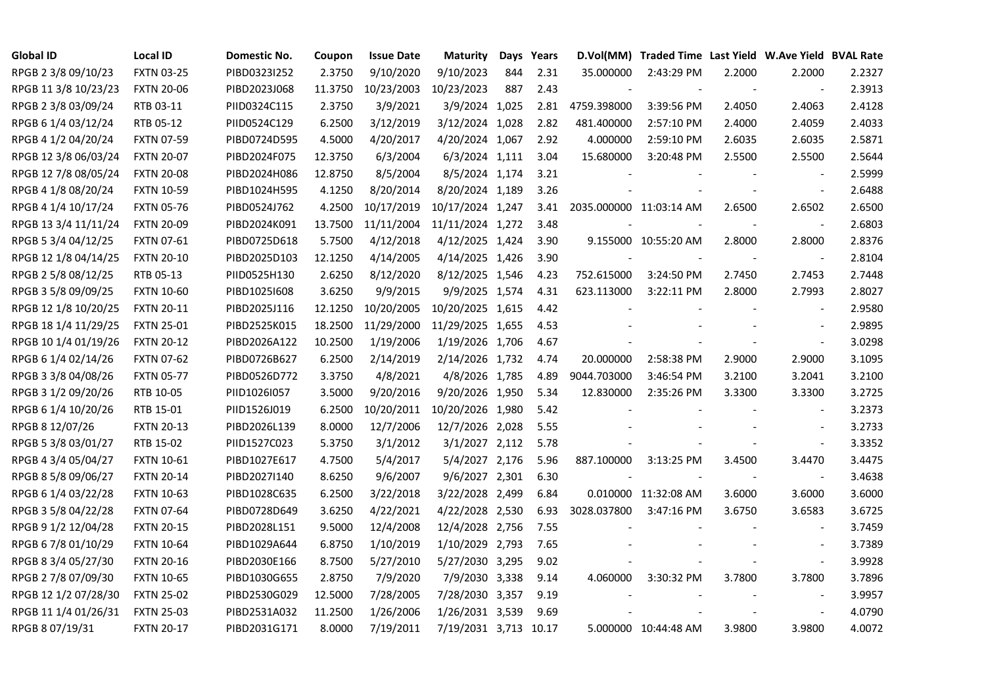| <b>Global ID</b>     | <b>Local ID</b>   | Domestic No. | Coupon  | <b>Issue Date</b> | <b>Maturity</b>       |     | Days Years | D.Vol(MM)               | Traded Time Last Yield W.Ave Yield BVAL Rate |        |                          |        |
|----------------------|-------------------|--------------|---------|-------------------|-----------------------|-----|------------|-------------------------|----------------------------------------------|--------|--------------------------|--------|
| RPGB 2 3/8 09/10/23  | <b>FXTN 03-25</b> | PIBD0323I252 | 2.3750  | 9/10/2020         | 9/10/2023             | 844 | 2.31       | 35.000000               | 2:43:29 PM                                   | 2.2000 | 2.2000                   | 2.2327 |
| RPGB 11 3/8 10/23/23 | <b>FXTN 20-06</b> | PIBD2023J068 | 11.3750 | 10/23/2003        | 10/23/2023            | 887 | 2.43       |                         |                                              |        | $\sim$                   | 2.3913 |
| RPGB 2 3/8 03/09/24  | RTB 03-11         | PIID0324C115 | 2.3750  | 3/9/2021          | 3/9/2024 1,025        |     | 2.81       | 4759.398000             | 3:39:56 PM                                   | 2.4050 | 2.4063                   | 2.4128 |
| RPGB 6 1/4 03/12/24  | RTB 05-12         | PIID0524C129 | 6.2500  | 3/12/2019         | 3/12/2024 1,028       |     | 2.82       | 481.400000              | 2:57:10 PM                                   | 2.4000 | 2.4059                   | 2.4033 |
| RPGB 4 1/2 04/20/24  | <b>FXTN 07-59</b> | PIBD0724D595 | 4.5000  | 4/20/2017         | 4/20/2024 1,067       |     | 2.92       | 4.000000                | 2:59:10 PM                                   | 2.6035 | 2.6035                   | 2.5871 |
| RPGB 12 3/8 06/03/24 | <b>FXTN 20-07</b> | PIBD2024F075 | 12.3750 | 6/3/2004          | 6/3/2024 1,111        |     | 3.04       | 15.680000               | 3:20:48 PM                                   | 2.5500 | 2.5500                   | 2.5644 |
| RPGB 12 7/8 08/05/24 | <b>FXTN 20-08</b> | PIBD2024H086 | 12.8750 | 8/5/2004          | 8/5/2024 1,174        |     | 3.21       |                         |                                              |        | $\overline{\phantom{a}}$ | 2.5999 |
| RPGB 4 1/8 08/20/24  | <b>FXTN 10-59</b> | PIBD1024H595 | 4.1250  | 8/20/2014         | 8/20/2024 1,189       |     | 3.26       |                         |                                              |        | $\blacksquare$           | 2.6488 |
| RPGB 4 1/4 10/17/24  | <b>FXTN 05-76</b> | PIBD0524J762 | 4.2500  | 10/17/2019        | 10/17/2024 1,247      |     | 3.41       | 2035.000000 11:03:14 AM |                                              | 2.6500 | 2.6502                   | 2.6500 |
| RPGB 13 3/4 11/11/24 | <b>FXTN 20-09</b> | PIBD2024K091 | 13.7500 | 11/11/2004        | 11/11/2024 1,272      |     | 3.48       |                         |                                              |        | $\overline{\phantom{a}}$ | 2.6803 |
| RPGB 5 3/4 04/12/25  | FXTN 07-61        | PIBD0725D618 | 5.7500  | 4/12/2018         | 4/12/2025 1,424       |     | 3.90       |                         | 9.155000 10:55:20 AM                         | 2.8000 | 2.8000                   | 2.8376 |
| RPGB 12 1/8 04/14/25 | <b>FXTN 20-10</b> | PIBD2025D103 | 12.1250 | 4/14/2005         | 4/14/2025 1,426       |     | 3.90       |                         |                                              |        | $\blacksquare$           | 2.8104 |
| RPGB 2 5/8 08/12/25  | RTB 05-13         | PIID0525H130 | 2.6250  | 8/12/2020         | 8/12/2025 1,546       |     | 4.23       | 752.615000              | 3:24:50 PM                                   | 2.7450 | 2.7453                   | 2.7448 |
| RPGB 3 5/8 09/09/25  | <b>FXTN 10-60</b> | PIBD10251608 | 3.6250  | 9/9/2015          | 9/9/2025 1,574        |     | 4.31       | 623.113000              | 3:22:11 PM                                   | 2.8000 | 2.7993                   | 2.8027 |
| RPGB 12 1/8 10/20/25 | <b>FXTN 20-11</b> | PIBD2025J116 | 12.1250 | 10/20/2005        | 10/20/2025 1,615      |     | 4.42       |                         |                                              |        | $\blacksquare$           | 2.9580 |
| RPGB 18 1/4 11/29/25 | <b>FXTN 25-01</b> | PIBD2525K015 | 18.2500 | 11/29/2000        | 11/29/2025 1,655      |     | 4.53       |                         |                                              |        |                          | 2.9895 |
| RPGB 10 1/4 01/19/26 | <b>FXTN 20-12</b> | PIBD2026A122 | 10.2500 | 1/19/2006         | 1/19/2026 1,706       |     | 4.67       |                         |                                              |        | $\blacksquare$           | 3.0298 |
| RPGB 6 1/4 02/14/26  | <b>FXTN 07-62</b> | PIBD0726B627 | 6.2500  | 2/14/2019         | 2/14/2026 1,732       |     | 4.74       | 20.000000               | 2:58:38 PM                                   | 2.9000 | 2.9000                   | 3.1095 |
| RPGB 3 3/8 04/08/26  | <b>FXTN 05-77</b> | PIBD0526D772 | 3.3750  | 4/8/2021          | 4/8/2026 1,785        |     | 4.89       | 9044.703000             | 3:46:54 PM                                   | 3.2100 | 3.2041                   | 3.2100 |
| RPGB 3 1/2 09/20/26  | RTB 10-05         | PIID1026I057 | 3.5000  | 9/20/2016         | 9/20/2026 1,950       |     | 5.34       | 12.830000               | 2:35:26 PM                                   | 3.3300 | 3.3300                   | 3.2725 |
| RPGB 6 1/4 10/20/26  | RTB 15-01         | PIID1526J019 | 6.2500  | 10/20/2011        | 10/20/2026 1,980      |     | 5.42       |                         |                                              |        | $\overline{\phantom{a}}$ | 3.2373 |
| RPGB 8 12/07/26      | <b>FXTN 20-13</b> | PIBD2026L139 | 8.0000  | 12/7/2006         | 12/7/2026 2,028       |     | 5.55       |                         |                                              |        | $\overline{\phantom{a}}$ | 3.2733 |
| RPGB 5 3/8 03/01/27  | RTB 15-02         | PIID1527C023 | 5.3750  | 3/1/2012          | 3/1/2027 2,112        |     | 5.78       |                         |                                              |        | $\blacksquare$           | 3.3352 |
| RPGB 4 3/4 05/04/27  | <b>FXTN 10-61</b> | PIBD1027E617 | 4.7500  | 5/4/2017          | 5/4/2027 2,176        |     | 5.96       | 887.100000              | 3:13:25 PM                                   | 3.4500 | 3.4470                   | 3.4475 |
| RPGB 8 5/8 09/06/27  | <b>FXTN 20-14</b> | PIBD2027I140 | 8.6250  | 9/6/2007          | 9/6/2027 2,301        |     | 6.30       |                         |                                              |        | $\blacksquare$           | 3.4638 |
| RPGB 6 1/4 03/22/28  | <b>FXTN 10-63</b> | PIBD1028C635 | 6.2500  | 3/22/2018         | 3/22/2028 2,499       |     | 6.84       |                         | 0.010000 11:32:08 AM                         | 3.6000 | 3.6000                   | 3.6000 |
| RPGB 3 5/8 04/22/28  | <b>FXTN 07-64</b> | PIBD0728D649 | 3.6250  | 4/22/2021         | 4/22/2028 2,530       |     | 6.93       | 3028.037800             | 3:47:16 PM                                   | 3.6750 | 3.6583                   | 3.6725 |
| RPGB 9 1/2 12/04/28  | <b>FXTN 20-15</b> | PIBD2028L151 | 9.5000  | 12/4/2008         | 12/4/2028 2,756       |     | 7.55       |                         |                                              |        | $\overline{\phantom{a}}$ | 3.7459 |
| RPGB 67/8 01/10/29   | <b>FXTN 10-64</b> | PIBD1029A644 | 6.8750  | 1/10/2019         | 1/10/2029 2,793       |     | 7.65       |                         |                                              |        | $\sim$                   | 3.7389 |
| RPGB 8 3/4 05/27/30  | <b>FXTN 20-16</b> | PIBD2030E166 | 8.7500  | 5/27/2010         | 5/27/2030 3,295       |     | 9.02       |                         |                                              |        | $\overline{\phantom{a}}$ | 3.9928 |
| RPGB 2 7/8 07/09/30  | <b>FXTN 10-65</b> | PIBD1030G655 | 2.8750  | 7/9/2020          | 7/9/2030 3,338        |     | 9.14       | 4.060000                | 3:30:32 PM                                   | 3.7800 | 3.7800                   | 3.7896 |
| RPGB 12 1/2 07/28/30 | <b>FXTN 25-02</b> | PIBD2530G029 | 12.5000 | 7/28/2005         | 7/28/2030 3,357       |     | 9.19       |                         |                                              |        | $\overline{\phantom{a}}$ | 3.9957 |
| RPGB 11 1/4 01/26/31 | <b>FXTN 25-03</b> | PIBD2531A032 | 11.2500 | 1/26/2006         | 1/26/2031 3,539       |     | 9.69       |                         |                                              |        | $\sim$                   | 4.0790 |
| RPGB 8 07/19/31      | <b>FXTN 20-17</b> | PIBD2031G171 | 8.0000  | 7/19/2011         | 7/19/2031 3,713 10.17 |     |            |                         | 5.000000 10:44:48 AM                         | 3.9800 | 3.9800                   | 4.0072 |